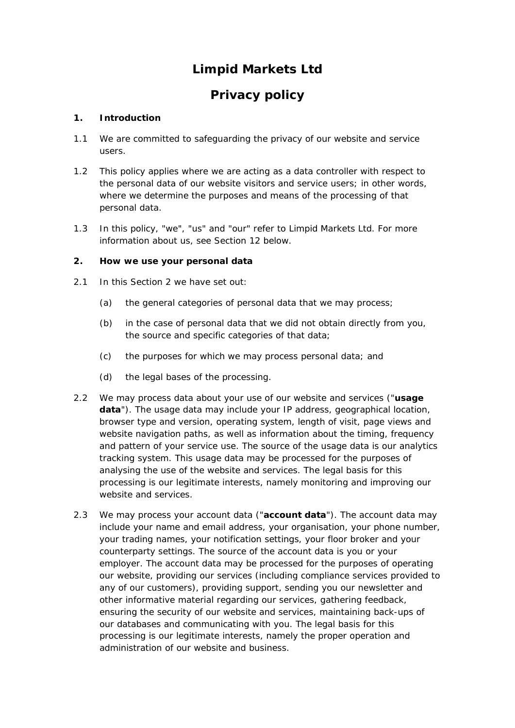# **Limpid Markets Ltd**

# **Privacy policy**

# **1. Introduction**

- 1.1 We are committed to safeguarding the privacy of our website and service users.
- 1.2 This policy applies where we are acting as a data controller with respect to the personal data of our website visitors and service users; in other words, where we determine the purposes and means of the processing of that personal data.
- 1.3 In this policy, "we", "us" and "our" refer to Limpid Markets Ltd. For more information about us, see Section 12 below.

# **2. How we use your personal data**

- 2.1 In this Section 2 we have set out:
	- (a) the general categories of personal data that we may process;
	- (b) in the case of personal data that we did not obtain directly from you, the source and specific categories of that data;
	- (c) the purposes for which we may process personal data; and
	- (d) the legal bases of the processing.
- 2.2 We may process data about your use of our website and services ("**usage data**"). The usage data may include your IP address, geographical location, browser type and version, operating system, length of visit, page views and website navigation paths, as well as information about the timing, frequency and pattern of your service use. The source of the usage data is our analytics tracking system. This usage data may be processed for the purposes of analysing the use of the website and services. The legal basis for this processing is our legitimate interests, namely monitoring and improving our website and services.
- 2.3 We may process your account data ("**account data**"). The account data may include your name and email address, your organisation, your phone number, your trading names, your notification settings, your floor broker and your counterparty settings. The source of the account data is you or your employer. The account data may be processed for the purposes of operating our website, providing our services (including compliance services provided to any of our customers), providing support, sending you our newsletter and other informative material regarding our services, gathering feedback, ensuring the security of our website and services, maintaining back-ups of our databases and communicating with you. The legal basis for this processing is our legitimate interests, namely the proper operation and administration of our website and business.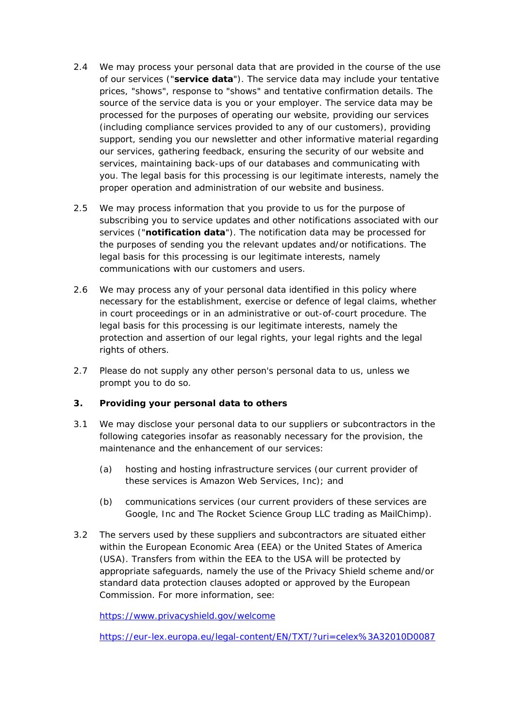- 2.4 We may process your personal data that are provided in the course of the use of our services ("**service data**"). The service data may include your tentative prices, "shows", response to "shows" and tentative confirmation details. The source of the service data is you or your employer. The service data may be processed for the purposes of operating our website, providing our services (including compliance services provided to any of our customers), providing support, sending you our newsletter and other informative material regarding our services, gathering feedback, ensuring the security of our website and services, maintaining back-ups of our databases and communicating with you. The legal basis for this processing is our legitimate interests, namely the proper operation and administration of our website and business.
- 2.5 We may process information that you provide to us for the purpose of subscribing you to service updates and other notifications associated with our services ("**notification data**"). The notification data may be processed for the purposes of sending you the relevant updates and/or notifications. The legal basis for this processing is our legitimate interests, namely communications with our customers and users.
- 2.6 We may process any of your personal data identified in this policy where necessary for the establishment, exercise or defence of legal claims, whether in court proceedings or in an administrative or out-of-court procedure. The legal basis for this processing is our legitimate interests, namely the protection and assertion of our legal rights, your legal rights and the legal rights of others.
- 2.7 Please do not supply any other person's personal data to us, unless we prompt you to do so.

# **3. Providing your personal data to others**

- 3.1 We may disclose your personal data to our suppliers or subcontractors in the following categories insofar as reasonably necessary for the provision, the maintenance and the enhancement of our services:
	- (a) hosting and hosting infrastructure services (our current provider of these services is Amazon Web Services, Inc); and
	- (b) communications services (our current providers of these services are Google, Inc and The Rocket Science Group LLC trading as MailChimp).
- 3.2 The servers used by these suppliers and subcontractors are situated either within the European Economic Area (EEA) or the United States of America (USA). Transfers from within the EEA to the USA will be protected by appropriate safeguards, namely the use of the Privacy Shield scheme and/or standard data protection clauses adopted or approved by the European Commission. For more information, see:

<https://www.privacyshield.gov/welcome>

<https://eur-lex.europa.eu/legal-content/EN/TXT/?uri=celex%3A32010D0087>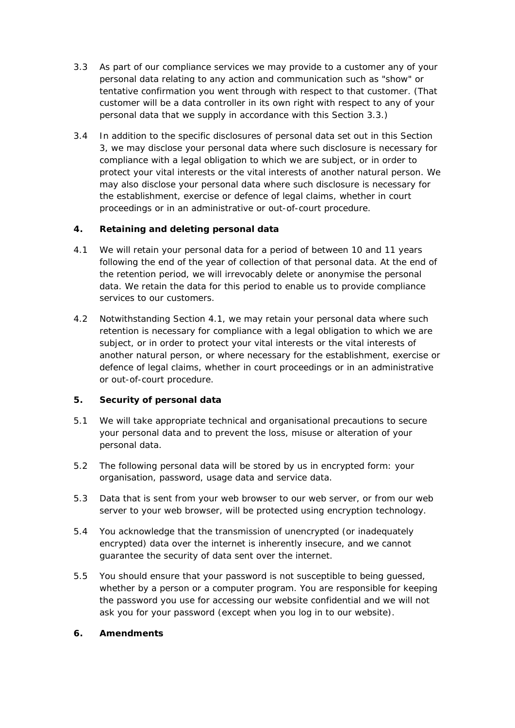- 3.3 As part of our compliance services we may provide to a customer any of your personal data relating to any action and communication such as "show" or tentative confirmation you went through with respect to that customer. (That customer will be a data controller in its own right with respect to any of your personal data that we supply in accordance with this Section 3.3.)
- 3.4 In addition to the specific disclosures of personal data set out in this Section 3, we may disclose your personal data where such disclosure is necessary for compliance with a legal obligation to which we are subject, or in order to protect your vital interests or the vital interests of another natural person. We may also disclose your personal data where such disclosure is necessary for the establishment, exercise or defence of legal claims, whether in court proceedings or in an administrative or out-of-court procedure.

# **4. Retaining and deleting personal data**

- 4.1 We will retain your personal data for a period of between 10 and 11 years following the end of the year of collection of that personal data. At the end of the retention period, we will irrevocably delete or anonymise the personal data. We retain the data for this period to enable us to provide compliance services to our customers.
- 4.2 Notwithstanding Section 4.1, we may retain your personal data where such retention is necessary for compliance with a legal obligation to which we are subject, or in order to protect your vital interests or the vital interests of another natural person, or where necessary for the establishment, exercise or defence of legal claims, whether in court proceedings or in an administrative or out-of-court procedure.

# **5. Security of personal data**

- 5.1 We will take appropriate technical and organisational precautions to secure your personal data and to prevent the loss, misuse or alteration of your personal data.
- 5.2 The following personal data will be stored by us in encrypted form: your organisation, password, usage data and service data.
- 5.3 Data that is sent from your web browser to our web server, or from our web server to your web browser, will be protected using encryption technology.
- 5.4 You acknowledge that the transmission of unencrypted (or inadequately encrypted) data over the internet is inherently insecure, and we cannot guarantee the security of data sent over the internet.
- 5.5 You should ensure that your password is not susceptible to being guessed, whether by a person or a computer program. You are responsible for keeping the password you use for accessing our website confidential and we will not ask you for your password (except when you log in to our website).

# **6. Amendments**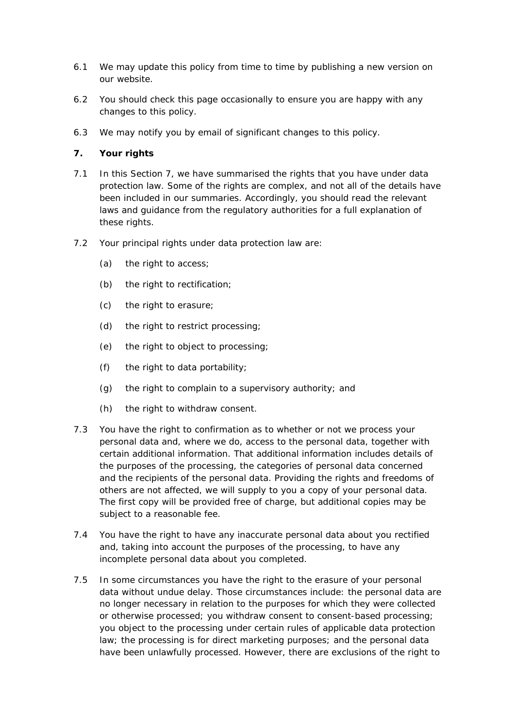- 6.1 We may update this policy from time to time by publishing a new version on our website.
- 6.2 You should check this page occasionally to ensure you are happy with any changes to this policy.
- 6.3 We may notify you by email of significant changes to this policy.

#### **7. Your rights**

- 7.1 In this Section 7, we have summarised the rights that you have under data protection law. Some of the rights are complex, and not all of the details have been included in our summaries. Accordingly, you should read the relevant laws and guidance from the regulatory authorities for a full explanation of these rights.
- 7.2 Your principal rights under data protection law are:
	- (a) the right to access;
	- (b) the right to rectification;
	- (c) the right to erasure;
	- (d) the right to restrict processing;
	- (e) the right to object to processing;
	- (f) the right to data portability;
	- (g) the right to complain to a supervisory authority; and
	- (h) the right to withdraw consent.
- 7.3 You have the right to confirmation as to whether or not we process your personal data and, where we do, access to the personal data, together with certain additional information. That additional information includes details of the purposes of the processing, the categories of personal data concerned and the recipients of the personal data. Providing the rights and freedoms of others are not affected, we will supply to you a copy of your personal data. The first copy will be provided free of charge, but additional copies may be subject to a reasonable fee.
- 7.4 You have the right to have any inaccurate personal data about you rectified and, taking into account the purposes of the processing, to have any incomplete personal data about you completed.
- 7.5 In some circumstances you have the right to the erasure of your personal data without undue delay. Those circumstances include: the personal data are no longer necessary in relation to the purposes for which they were collected or otherwise processed; you withdraw consent to consent-based processing; you object to the processing under certain rules of applicable data protection law; the processing is for direct marketing purposes; and the personal data have been unlawfully processed. However, there are exclusions of the right to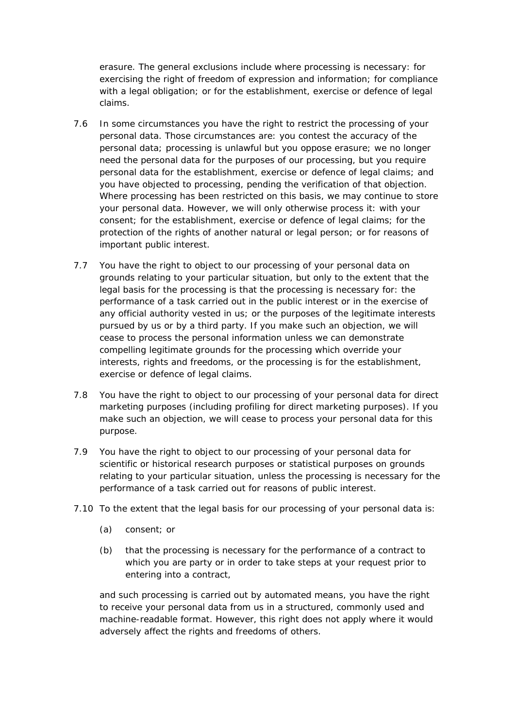erasure. The general exclusions include where processing is necessary: for exercising the right of freedom of expression and information; for compliance with a legal obligation; or for the establishment, exercise or defence of legal claims.

- 7.6 In some circumstances you have the right to restrict the processing of your personal data. Those circumstances are: you contest the accuracy of the personal data; processing is unlawful but you oppose erasure; we no longer need the personal data for the purposes of our processing, but you require personal data for the establishment, exercise or defence of legal claims; and you have objected to processing, pending the verification of that objection. Where processing has been restricted on this basis, we may continue to store your personal data. However, we will only otherwise process it: with your consent; for the establishment, exercise or defence of legal claims; for the protection of the rights of another natural or legal person; or for reasons of important public interest.
- 7.7 You have the right to object to our processing of your personal data on grounds relating to your particular situation, but only to the extent that the legal basis for the processing is that the processing is necessary for: the performance of a task carried out in the public interest or in the exercise of any official authority vested in us; or the purposes of the legitimate interests pursued by us or by a third party. If you make such an objection, we will cease to process the personal information unless we can demonstrate compelling legitimate grounds for the processing which override your interests, rights and freedoms, or the processing is for the establishment, exercise or defence of legal claims.
- 7.8 You have the right to object to our processing of your personal data for direct marketing purposes (including profiling for direct marketing purposes). If you make such an objection, we will cease to process your personal data for this purpose.
- 7.9 You have the right to object to our processing of your personal data for scientific or historical research purposes or statistical purposes on grounds relating to your particular situation, unless the processing is necessary for the performance of a task carried out for reasons of public interest.
- 7.10 To the extent that the legal basis for our processing of your personal data is:
	- (a) consent; or
	- (b) that the processing is necessary for the performance of a contract to which you are party or in order to take steps at your request prior to entering into a contract,

and such processing is carried out by automated means, you have the right to receive your personal data from us in a structured, commonly used and machine-readable format. However, this right does not apply where it would adversely affect the rights and freedoms of others.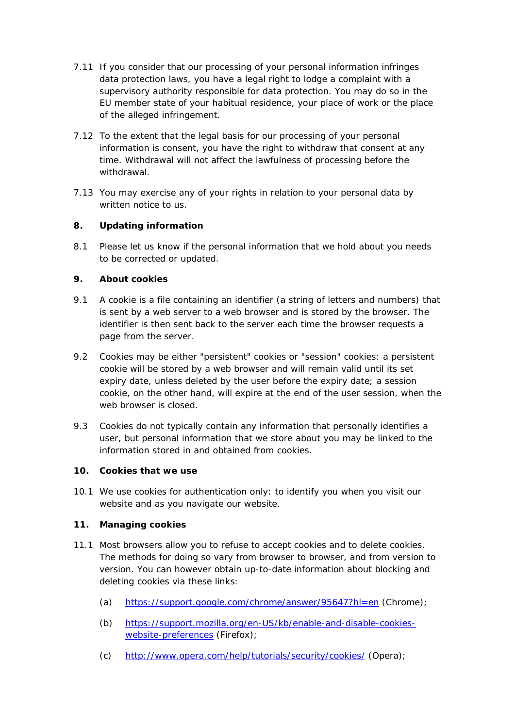- 7.11 If you consider that our processing of your personal information infringes data protection laws, you have a legal right to lodge a complaint with a supervisory authority responsible for data protection. You may do so in the EU member state of your habitual residence, your place of work or the place of the alleged infringement.
- 7.12 To the extent that the legal basis for our processing of your personal information is consent, you have the right to withdraw that consent at any time. Withdrawal will not affect the lawfulness of processing before the withdrawal.
- 7.13 You may exercise any of your rights in relation to your personal data by written notice to us.

# **8. Updating information**

8.1 Please let us know if the personal information that we hold about you needs to be corrected or updated.

# **9. About cookies**

- 9.1 A cookie is a file containing an identifier (a string of letters and numbers) that is sent by a web server to a web browser and is stored by the browser. The identifier is then sent back to the server each time the browser requests a page from the server.
- 9.2 Cookies may be either "persistent" cookies or "session" cookies: a persistent cookie will be stored by a web browser and will remain valid until its set expiry date, unless deleted by the user before the expiry date; a session cookie, on the other hand, will expire at the end of the user session, when the web browser is closed.
- 9.3 Cookies do not typically contain any information that personally identifies a user, but personal information that we store about you may be linked to the information stored in and obtained from cookies.

# **10. Cookies that we use**

10.1 We use cookies for authentication only: to identify you when you visit our website and as you navigate our website.

# **11. Managing cookies**

- 11.1 Most browsers allow you to refuse to accept cookies and to delete cookies. The methods for doing so vary from browser to browser, and from version to version. You can however obtain up-to-date information about blocking and deleting cookies via these links:
	- (a) <https://support.google.com/chrome/answer/95647?hl=en> (Chrome);
	- (b) [https://support.mozilla.org/en-US/kb/enable-and-disable-cookies](https://support.mozilla.org/en-US/kb/enable-and-disable-cookies-website-preferences)[website-preferences](https://support.mozilla.org/en-US/kb/enable-and-disable-cookies-website-preferences) (Firefox);
	- (c) <http://www.opera.com/help/tutorials/security/cookies/> (Opera);